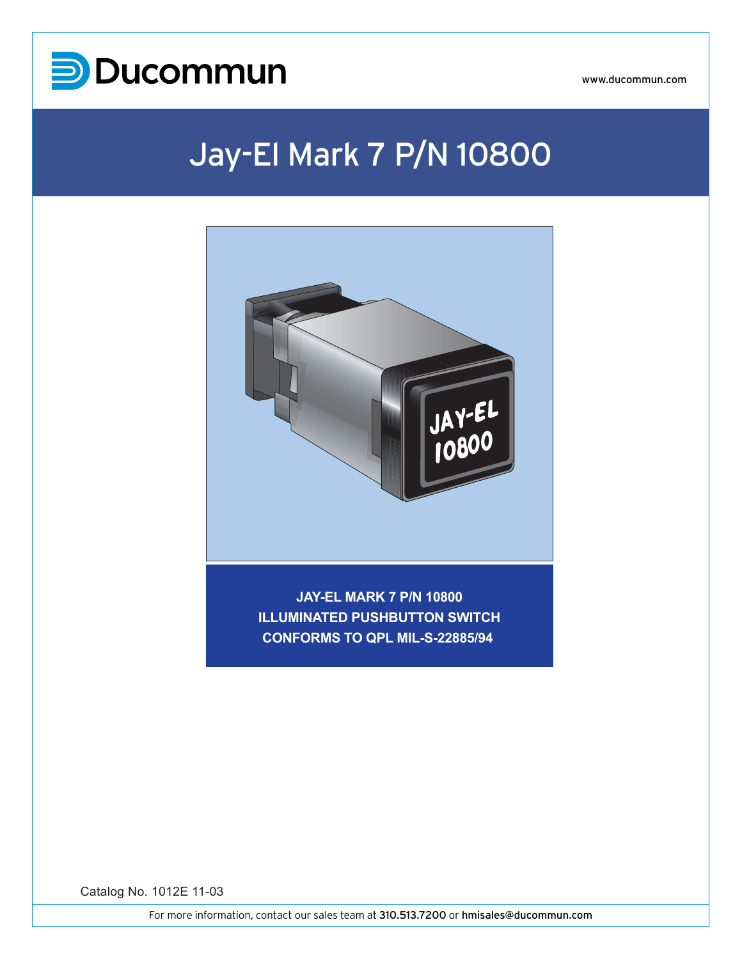

## Jay-El Mark 7 P/N 10800



**JAY-EL MARK 7 P/N 10800 ILLUMINATED PUSHBUTTON SWITCH CONFORMS TO QPL MIL-S-22885/94** 

Catalog No. 1012E 11-03

MARK 7 P/N 10800

PUSHBUTTON SWITCH O QPL MIL-S-22885/94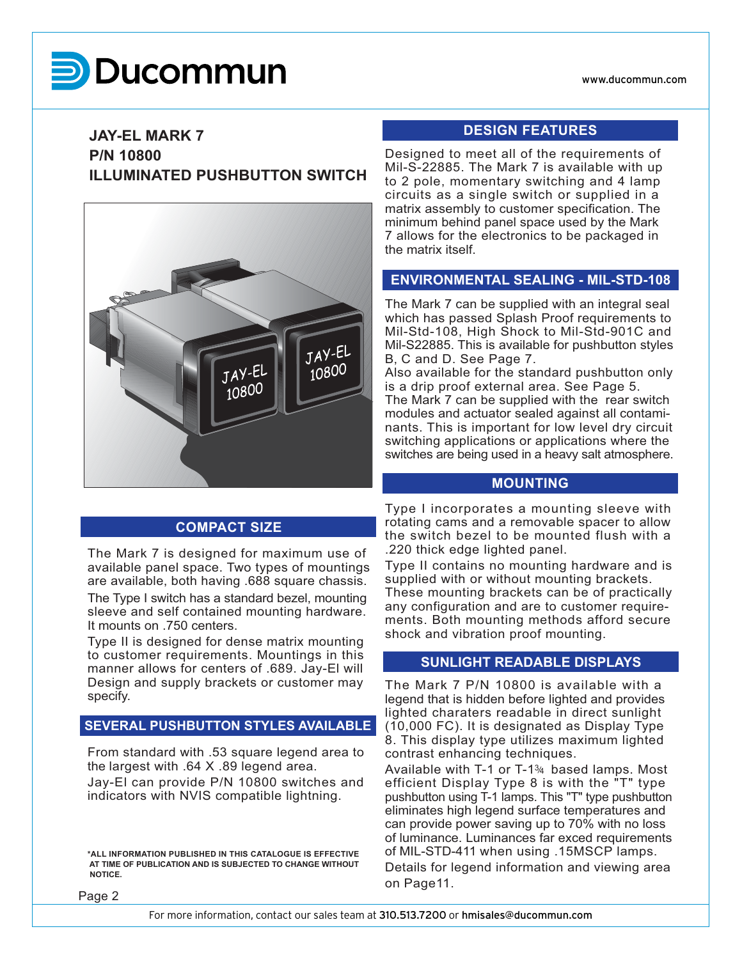# **UCOM**

### **JAY-EL MARK 7 P/N 10800 ILLUMINATED PUSHBUTTON SWITCH**



### **COMPACT SIZE**

The Mark 7 is designed for maximum use of available panel space. Two types of mountings are available, both having .688 square chassis. The Type I switch has a standard bezel, mounting sleeve and self contained mounting hardware. It mounts on .750 centers.

Type II is designed for dense matrix mounting to customer requirements. Mountings in this manner allows for centers of .689. Jay-El will Design and supply brackets or customer may specify.

#### **SEVERAL PUSHBUTTON STYLES AVAILABLE**

From standard with .53 square legend area to the largest with .64 X .89 legend area.

Jay-El can provide P/N 10800 switches and indicators with NVIS compatible lightning.

**\*ALL INFORMATION PUBLISHED IN THIS CATALOGUE IS EFFECTIVE AT TIME OF PUBLICATION AND IS SUBJECTED TO CHANGE WITHOUT NOTICE.**

#### **DESIGN FEATURES**

Designed to meet all of the requirements of Mil-S-22885. The Mark 7 is available with up to 2 pole, momentary switching and 4 lamp circuits as a single switch or supplied in a matrix assembly to customer specification. The minimum behind panel space used by the Mark 7 allows for the electronics to be packaged in the matrix itself.

#### **ENVIRONMENTAL SEALING - MIL-STD-108**

The Mark 7 can be supplied with an integral seal which has passed Splash Proof requirements to Mil-Std-108, High Shock to Mil-Std-901C and Mil-S22885. This is available for pushbutton styles B, C and D. See Page 7.

Also available for the standard pushbutton only is a drip proof external area. See Page 5. The Mark 7 can be supplied with the rear switch modules and actuator sealed against all contaminants. This is important for low level dry circuit switching applications or applications where the switches are being used in a heavy salt atmosphere.

#### **MOUNTING**

Type I incorporates a mounting sleeve with rotating cams and a removable spacer to allow the switch bezel to be mounted flush with a .220 thick edge lighted panel.

Type II contains no mounting hardware and is supplied with or without mounting brackets. These mounting brackets can be of practically any configuration and are to customer requirements. Both mounting methods afford secure shock and vibration proof mounting.

#### **SUNLIGHT READABLE DISPLAYS**

The Mark 7 P/N 10800 is available with a legend that is hidden before lighted and provides lighted charaters readable in direct sunlight (10,000 FC). It is designated as Display Type 8. This display type utilizes maximum lighted contrast enhancing techniques.

Available with T-1 or T-1 $\frac{34}{4}$  based lamps. Most efficient Display Type 8 is with the "T" type pushbutton using T-1 lamps. This "T" type pushbutton eliminates high legend surface temperatures and can provide power saving up to 70% with no loss of luminance. Luminances far exced requirements of MIL-STD-411 when using .15MSCP lamps.

Details for legend information and viewing area on Page11.

Page 2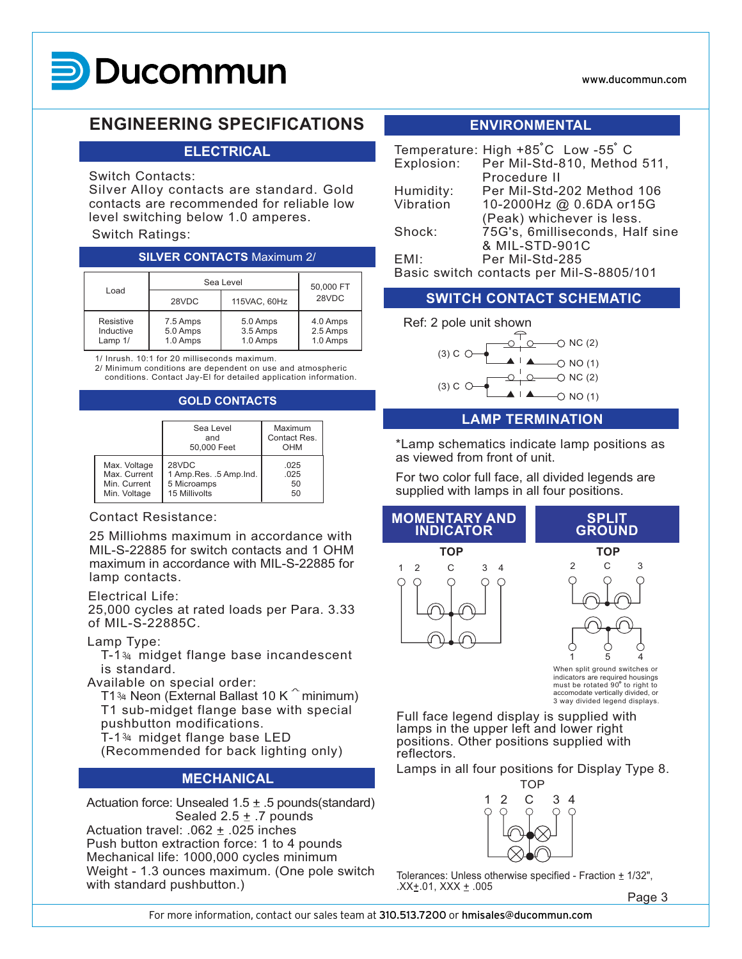### **MARK 7 UCOM**

#### www.ducommun.com

### **ENGINEERING SPECIFICATIONS ENVIRONMENTAL**

#### **ELECTRICAL**

#### Switch Contacts:

Silver Alloy contacts are standard. Gold contacts are recommended for reliable low level switching below 1.0 amperes.

#### Switch Ratings:

#### **SILVER CONTACTS** Maximum 2/

| Load                              | Sea Level                        | 50,000 FT                        |                                  |  |
|-----------------------------------|----------------------------------|----------------------------------|----------------------------------|--|
|                                   | 28VDC                            | 115VAC, 60Hz                     | 28VDC                            |  |
| Resistive<br>Inductive<br>Lamp 1/ | 7.5 Amps<br>5.0 Amps<br>1.0 Amps | 5.0 Amps<br>3.5 Amps<br>1.0 Amps | 4.0 Amps<br>2.5 Amps<br>1.0 Amps |  |

1/ Inrush. 10:1 for 20 milliseconds maximum.

2/ Minimum conditions are dependent on use and atmospheric conditions. Contact Jay-El for detailed application information.

#### **GOLD CONTACTS**

|              | Sea Level<br>and<br>50,000 Feet | Maximum<br>Contact Res.<br>OHM |
|--------------|---------------------------------|--------------------------------|
| Max. Voltage | 28VDC                           | .025                           |
| Max. Current | 1 Amp. Res. . 5 Amp. Ind.       | .025                           |
| Min. Current | 5 Microamps                     | 50                             |
| Min. Voltage | 15 Millivolts                   | 50                             |

#### Contact Resistance:

25 Milliohms maximum in accordance with MIL-S-22885 for switch contacts and 1 OHM maximum in accordance with MIL-S-22885 for lamp contacts.

#### Electrical Life:

25,000 cycles at rated loads per Para. 3.33 of MIL-S-22885C.

#### Lamp Type:

T-1¾ midget flange base incandescent is standard.

Available on special order:

T1¾ Neon (External Ballast 10 K $^+$  minimum)

T1 sub-midget flange base with special pushbutton modifications.

- T-1 $\frac{34}{}$  midget flange base LED
- (Recommended for back lighting only)

#### **MECHANICAL**

Actuation force: Unsealed  $1.5 \pm .5$  pounds(standard) Sealed  $2.5 \pm .7$  pounds

Actuation travel: .062  $\pm$  .025 inches Push button extraction force: 1 to 4 pounds Mechanical life: 1000,000 cycles minimum Weight - 1.3 ounces maximum. (One pole switch with standard pushbutton.)

|           | Temperature: High +85°C Low -55°C        |
|-----------|------------------------------------------|
|           | Explosion: Per Mil-Std-810, Method 511,  |
|           | Procedure II                             |
| Humidity: | Per Mil-Std-202 Method 106               |
| Vibration | 10-2000Hz @ 0.6DA or15G                  |
|           | (Peak) whichever is less.                |
| Shock:    | 75G's, 6milliseconds, Half sine          |
|           | & MIL-STD-901C                           |
| EMI:      | Per Mil-Std-285                          |
|           | Basic switch contacts per Mil-S-8805/101 |

#### **SWITCH CONTACT SCHEMATIC**



#### **LAMP TERMINATION**

\*Lamp schematics indicate lamp positions as as viewed from front of unit.

For two color full face, all divided legends are supplied with lamps in all four positions.



must be rotated  $90^\circ$  to right to accomodate vertically divided, or 3 way divided legend displays.

Full face legend display is supplied with lamps in the upper left and lower right positions. Other positions supplied with reflectors.

Lamps in all four positions for Display Type 8.



Tolerances: Unless otherwise specified - Fraction  $\pm$  1/32",  $.XX \pm .01$ , XXX  $\pm .005$ 

Page 3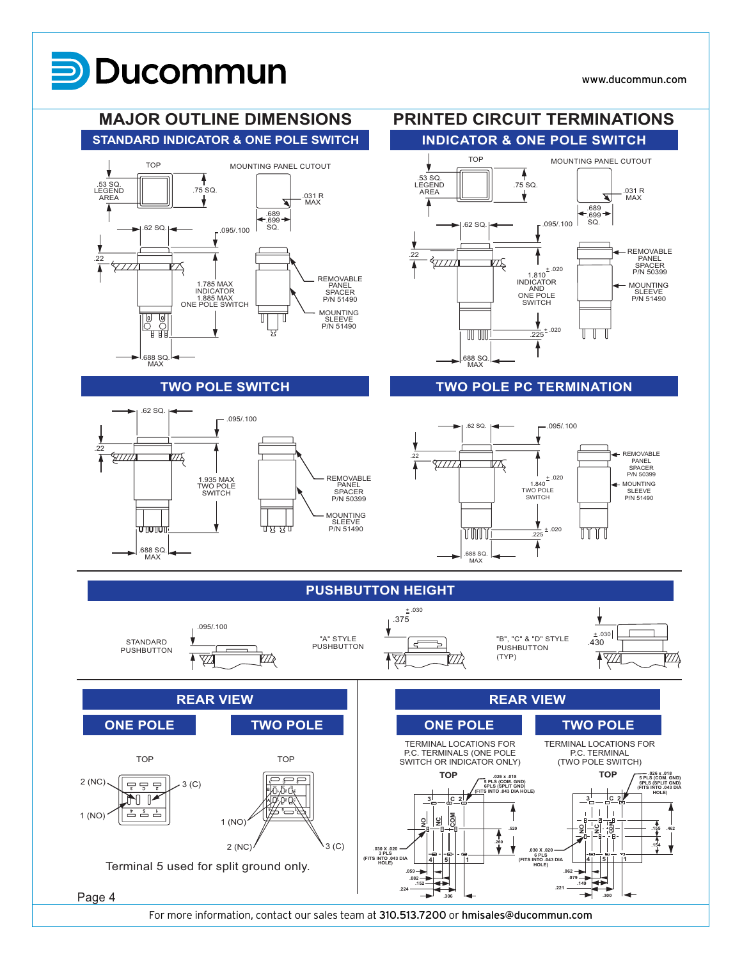#### **MAJOR OUTLINE DIMENSIONS PRINTED CIRCUIT TERMINATIONS STANDARD INDICATOR & ONE POLE SWITCH INDICATOR & ONE POLE SWITCH** MOUNTING PANEL CUTOUT **WE** TOP MOUNTING PANEL CUTOUT TOP TOP — 1.53 SQ.<br>1.75 SQ. LEGEND LEGEND LEGEND<br>AREA  $75$  SO. .53 SQ. LEGEND .031 R .031 <sup>R</sup> MAX v AREA ◥ MAX ∡ Δ .689 .699 SQ. .689 .699 SQ. .62 SQ. .095/.100 .62 SQ. .095/.100 REMOVABLE PANEL SPACER P/N 50399 .22  $22$ 47777 ₽Ş .<br>777 X  $±.020$ 1.810 INDICATOR REMOVABLE PANEL MOUNTING 1.785 MAX INDICATOR AND ONE POLE SPACER P/N 51490 SLEEVE P/N 51490 1.885 MAX ONE POLE SWITCH **SWITCH** MOUNTING )<br>이 이<br>비비 ╖ 읭 SLEEVE P/N 51490 + .0205,  $\overline{\mathbb{H}}$   $\overline{\mathbb{H}}$  $\mathbb T$  $\mathbb T$ ╖ .225 .688 SQ. MAX .688 SQ. MAX **TWO POLE PC TERMINATION TWO POLE SWITCH** .62 SQ. .095/.100 .62 SQ.  $-.095/000$ .22 REMOVABLE <u>HIII</u> ТĄ .22 PANEL ∰ 3777. SPACER P/N 50399 REMOVABLE PANEL SPACER P/N 50399  $+ .020$ <br>1.840 1.935 MAX TWO POLE SWITCH MOUNTING TWO POLE SLEEVE SWITCH P/N 51490 MOUNTING SLEEVE P/N 51490 णाणाए णे छ छ प + .020 TM 11 T  $.225$ .688 SQ. MAX .688 SQ. MAX **PUSHBUTTON HEIGHT**  $\frac{1}{2}$ .030<br>.375 .095/.100  $± .030$ "A" STYLE "B", "C" & "D" STYLE STANDARD  $\epsilon$ .430 PUSHBUTTON **PUSHBUTTON PUSHBUTTON** (TYP)  $\overline{\mathfrak{f}}$ 7  $\overline{\mathbb{Y}}$ ØĄ ∤⊻  $\overline{\mathbb{Z}}$ **REAR VIEW REAR VIEW ONE POLE TWO POLE ONE POLE TWO POLE** TERMINAL LOCATIONS FOR TERMINAL LOCATIONS FOR P.C. TERMINALS (ONE POLE P.C. TERMINAL (TWO POLE SWITCH) TOP TOP SWITCH OR INDICATOR ONLY) **.026 x .018 TOP .026 x .018 TOP 5 PLS (COM. GND) 6PLS (SPLIT GND)** 2 (NC) 3 (C) **3 C 2 5 PLS (COM. GND) 6PLS (SPLIT GND) (FITS INTO .043 DIA HOLE) 3 C 2 (FITS INTO .043 DIA B <sup>3</sup> 2 1 HOLE)**  $\blacksquare$ **<sup>3</sup> <sup>21</sup> 2 3 C 3 2 C A 4 5 1 <sup>4</sup> <sup>5</sup> <sup>1</sup>**  $1 (NO)$   $1 (NO)$ **No. NO**  $|g|$ **COM NO**  $\frac{\mathsf{c}}{\mathsf{z}}$ **.520 .155 .462** Ŧ **.260** 2 (NC)  $\backslash$  3 (C) **.154 .030 X .020 3 PLS (FITS INTO .043 DIA HOLE) .030 X .020 4 5 1 4 5 1 6 PLS (FITS INTO .043 DIA HOLE)** Terminal 5 used for split ground only. **.059 .062 .082 .079 .149 .152 .224 .221** Page 4 **.306 .300**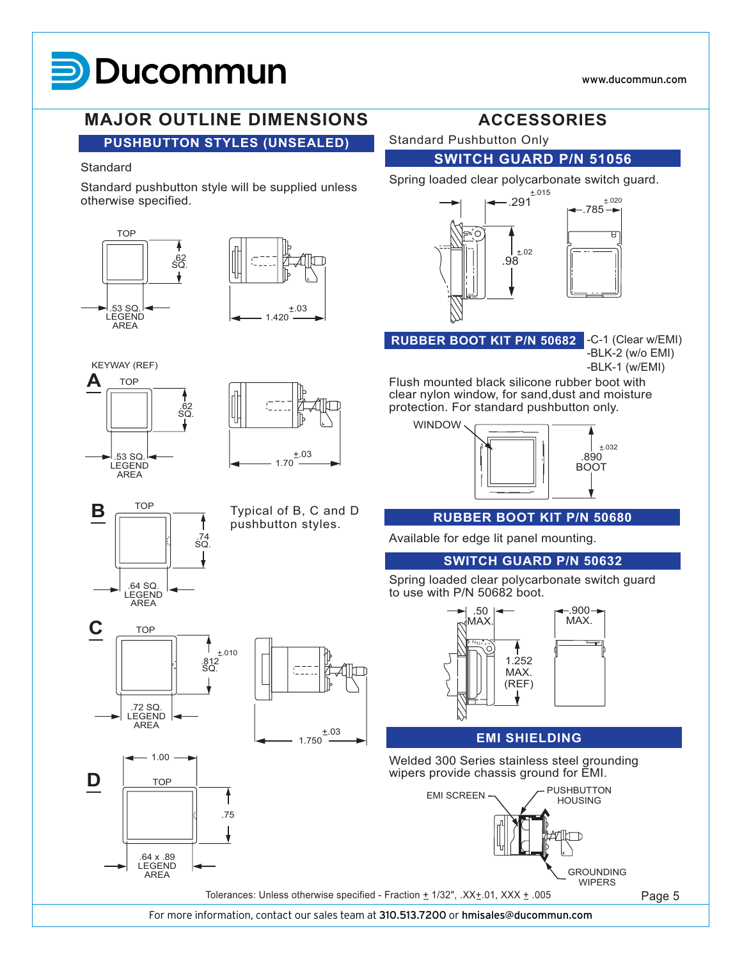### **MAJOR OUTLINE DIMENSIONS ACCESSORIES**

**PUSHBUTTON STYLES (UNSEALED)**

#### **Standard**

Standard pushbutton style will be supplied unless otherwise specified.









.64 SQ. LEGEND AREA

**TOP** 

**C**

.72 SQ. LEGEND AREA

**D** TOP

.64 x .89 **LEGEND** AREA

1.00



.74 SQ.  $\mathbf{B} \equiv$ 

.812 SQ.

 $±.010$ 

.75

Typical of B, C and D pushbutton styles.

1.750

Standard Pushbutton Only

**SWITCH GUARD P/N 51056**

Spring loaded clear polycarbonate switch guard.



-C-1 (Clear w/EMI) **RUBBER BOOT KIT P/N 50682**

-BLK-2 (w/o EMI) -BLK-1 (w/EMI)

Flush mounted black silicone rubber boot with clear nylon window, for sand,dust and moisture protection. For standard pushbutton only.



#### **RUBBER BOOT KIT P/N 50680**

Available for edge lit panel mounting.

#### **SWITCH GUARD P/N 50632**

.900 MAX.

Spring loaded clear polycarbonate switch guard to use with P/N 50682 boot.



#### **EMI SHIELDING**

Welded 300 Series stainless steel grounding wipers provide chassis ground for EMI.



For more information, contact our sales team at 310.513.7200 or hmisales@ducommun.com

Page 5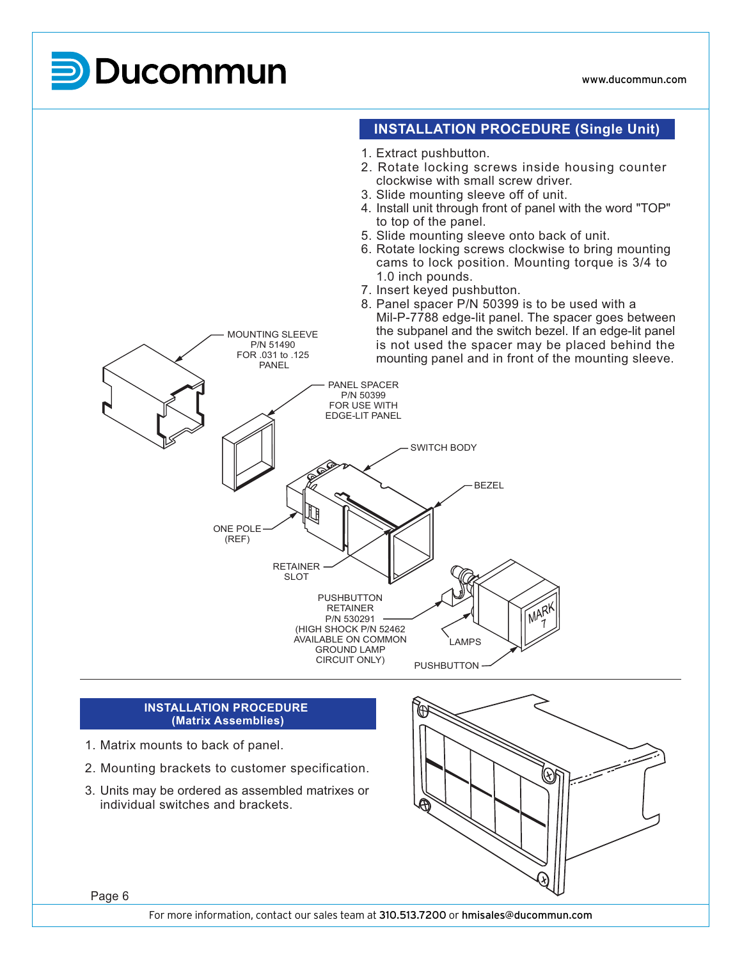

#### **INSTALLATION PROCEDURE (Matrix Assemblies)**

- 1. Matrix mounts to back of panel.
- 2. Mounting brackets to customer specification.
- 3. Units may be ordered as assembled matrixes or individual switches and brackets.



Page 6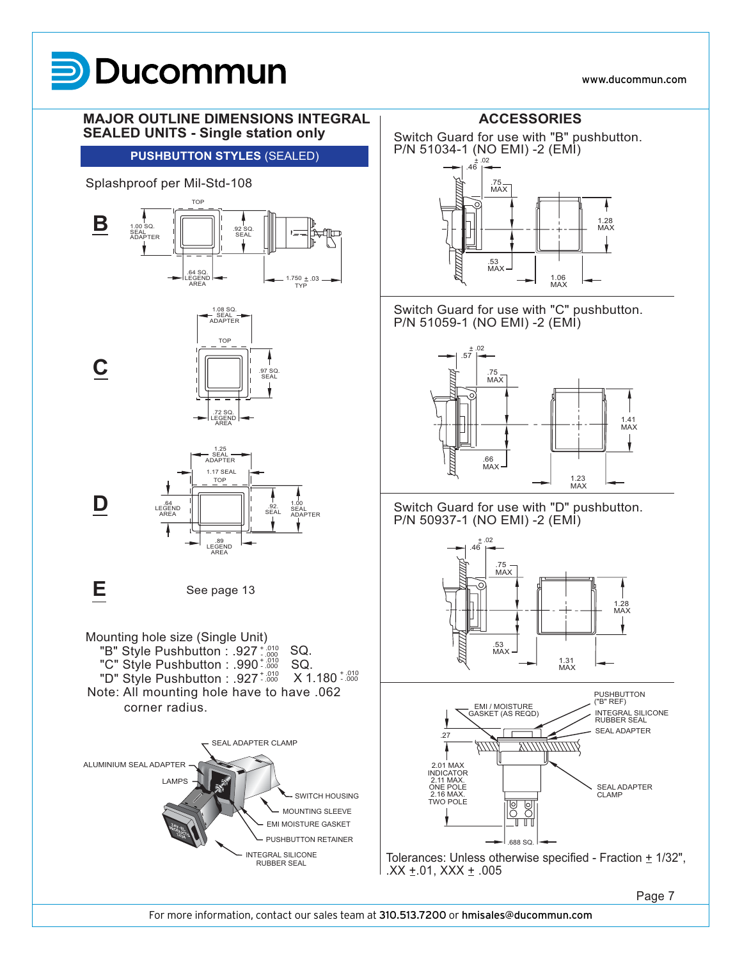#### www.ducommun.com



Page 7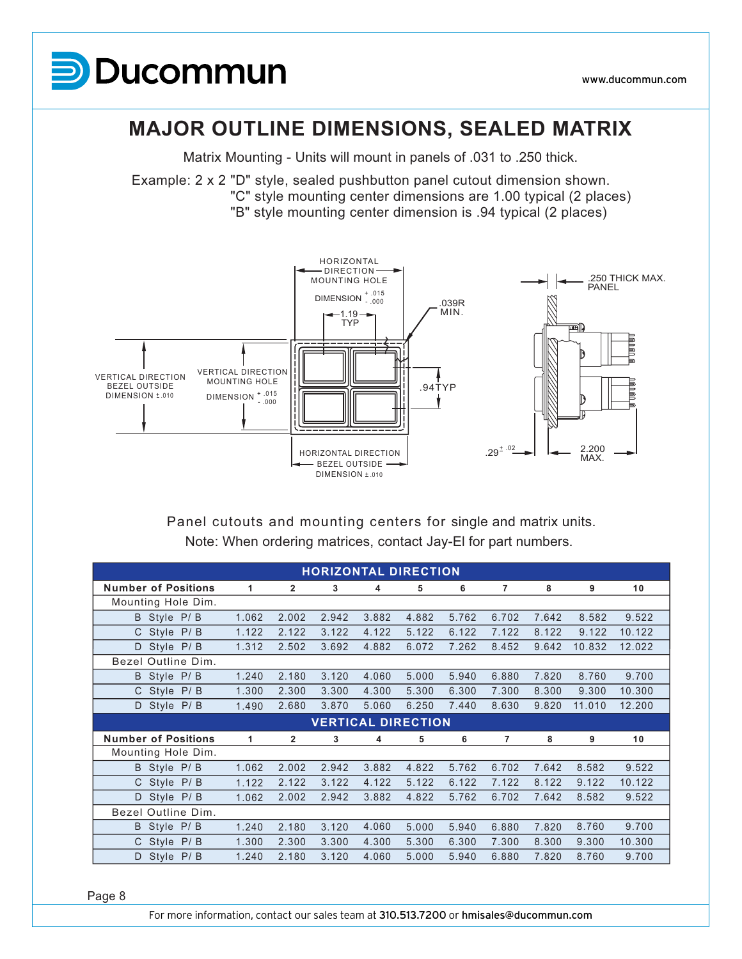

### **MAJOR OUTLINE DIMENSIONS, SEALED MATRIX**

Matrix Mounting - Units will mount in panels of .031 to .250 thick.

Example: 2 x 2 "D" style, sealed pushbutton panel cutout dimension shown. "C" style mounting center dimensions are 1.00 typical (2 places) "B" style mounting center dimension is .94 typical (2 places)



Note: When ordering matrices, contact Jay-El for part numbers. Panel cutouts and mounting centers for single and matrix units.

| <b>HORIZONTAL DIRECTION</b> |       |              |       |                           |       |       |                |       |        |        |
|-----------------------------|-------|--------------|-------|---------------------------|-------|-------|----------------|-------|--------|--------|
| <b>Number of Positions</b>  | 1     | $\mathbf{2}$ | 3     | 4                         | 5     | 6     | 7              | 8     | 9      | 10     |
| Mounting Hole Dim.          |       |              |       |                           |       |       |                |       |        |        |
| B Style P/B                 | 1.062 | 2.002        | 2.942 | 3.882                     | 4.882 | 5.762 | 6.702          | 7.642 | 8.582  | 9.522  |
| C Style P/B                 | 1.122 | 2.122        | 3.122 | 4.122                     | 5.122 | 6.122 | 7.122          | 8.122 | 9.122  | 10.122 |
| Style P/B<br>D              | 1.312 | 2.502        | 3.692 | 4.882                     | 6.072 | 7.262 | 8.452          | 9.642 | 10.832 | 12.022 |
| Bezel Outline Dim.          |       |              |       |                           |       |       |                |       |        |        |
| Style P/B<br>B              | 1.240 | 2.180        | 3.120 | 4.060                     | 5.000 | 5.940 | 6.880          | 7.820 | 8.760  | 9.700  |
| C Style P/B                 | 1.300 | 2.300        | 3.300 | 4.300                     | 5.300 | 6.300 | 7.300          | 8.300 | 9.300  | 10.300 |
| Style P/B<br>D              | 1.490 | 2.680        | 3.870 | 5.060                     | 6.250 | 7.440 | 8.630          | 9.820 | 11.010 | 12.200 |
|                             |       |              |       | <b>VERTICAL DIRECTION</b> |       |       |                |       |        |        |
| <b>Number of Positions</b>  | 1     | 2            | 3     | 4                         | 5     | 6     | $\overline{7}$ | 8     | 9      | 10     |
| Mounting Hole Dim.          |       |              |       |                           |       |       |                |       |        |        |
| B Style P/B                 | 1.062 | 2.002        | 2.942 | 3.882                     | 4.822 | 5.762 | 6.702          | 7.642 | 8.582  | 9.522  |
| C Style<br>P/B              | 1.122 | 2.122        | 3.122 | 4.122                     | 5.122 | 6.122 | 7.122          | 8.122 | 9.122  | 10.122 |
| Style P/B<br>D              | 1.062 | 2.002        | 2.942 | 3.882                     | 4.822 | 5.762 | 6.702          | 7.642 | 8.582  | 9.522  |
| Bezel Outline Dim.          |       |              |       |                           |       |       |                |       |        |        |
| Style P/B<br>B              | 1.240 | 2.180        | 3.120 | 4.060                     | 5.000 | 5.940 | 6.880          | 7.820 | 8.760  | 9.700  |
| P/B<br>C.<br>Style          | 1.300 | 2.300        | 3.300 | 4.300                     | 5.300 | 6.300 | 7.300          | 8.300 | 9.300  | 10.300 |
|                             |       |              |       |                           |       |       |                |       |        |        |

Page 8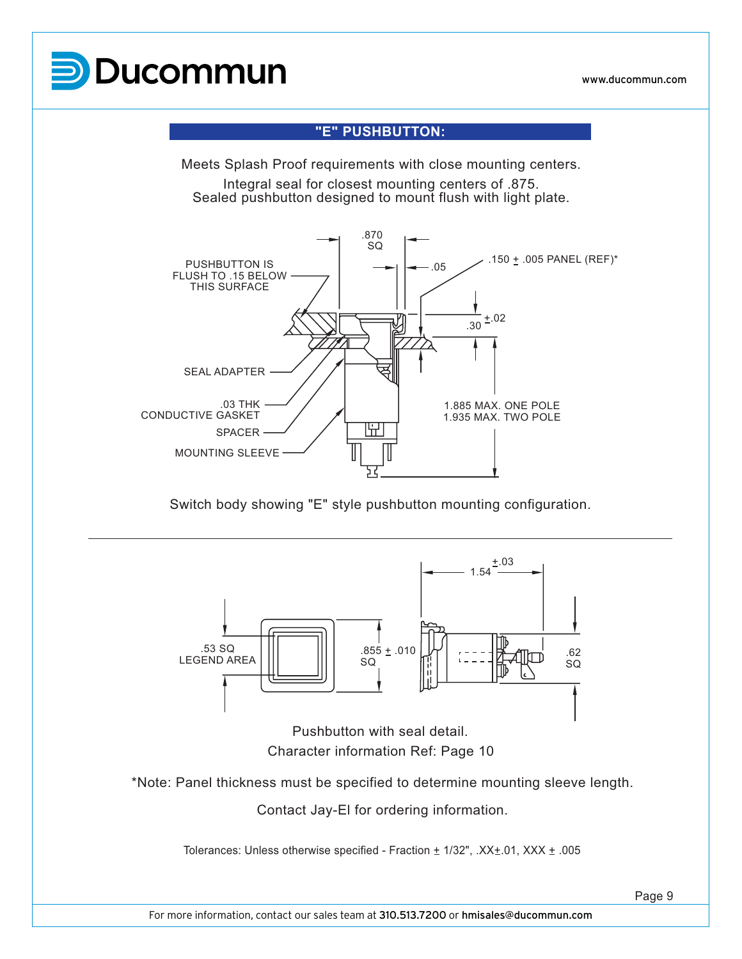

### **"E" PUSHBUTTON:**

Meets Splash Proof requirements with close mounting centers. Integral seal for closest mounting centers of .875. Sealed pushbutton designed to mount flush with light plate.



Switch body showing "E" style pushbutton mounting configuration.



Character information Ref: Page 10

\*Note: Panel thickness must be specified to determine mounting sleeve length.

Contact Jay-El for ordering information.

Tolerances: Unless otherwise specified - Fraction  $\pm$  1/32", .XX $\pm$ .01, XXX  $\pm$ .005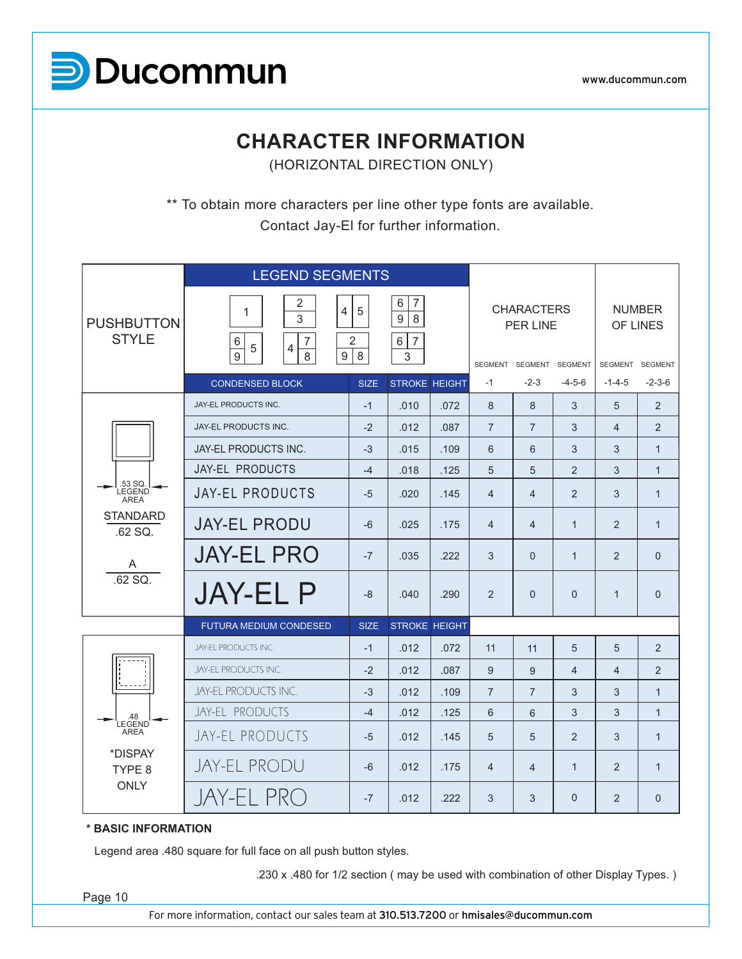

### **CHARACTER INFORMATION**

(HORIZONTAL DIRECTION ONLY)

\*\* To obtain more characters per line other type fonts are available. Contact Jay-El for further information.

|                                                                              | <b>LEGEND SEGMENTS</b>                                                                                                     |             |                                                                 |      |                |                                                          |                |                |                                             |
|------------------------------------------------------------------------------|----------------------------------------------------------------------------------------------------------------------------|-------------|-----------------------------------------------------------------|------|----------------|----------------------------------------------------------|----------------|----------------|---------------------------------------------|
| <b>PUSHBUTTON</b><br><b>STYLE</b>                                            | $\overline{2}$<br>$\overline{4}$<br>1<br>3<br>$\,6\,$<br>$\overline{7}$<br>$\overline{4}$<br>5<br>$\overline{9}$<br>9<br>8 | 5<br>2<br>8 | $\overline{7}$<br>6<br>9<br>8<br>$\overline{7}$<br>$\,6\,$<br>3 |      |                | <b>CHARACTERS</b><br>PER LINE<br>SEGMENT SEGMENT SEGMENT |                | <b>SEGMENT</b> | <b>NUMBER</b><br>OF LINES<br><b>SEGMENT</b> |
|                                                                              | <b>CONDENSED BLOCK</b>                                                                                                     | <b>SIZE</b> | <b>STROKE HEIGHT</b>                                            |      | $-1$           | $-2-3$                                                   | $-4-5-6$       | $-1 - 4 - 5$   | $-2-3-6$                                    |
|                                                                              | JAY-EL PRODUCTS INC.                                                                                                       | $-1$        | .010                                                            | .072 | 8              | 8                                                        | 3              | 5              | 2                                           |
|                                                                              | JAY-EL PRODUCTS INC.                                                                                                       | $-2$        | .012                                                            | .087 | $\overline{7}$ | $\overline{7}$                                           | 3              | $\overline{4}$ | 2                                           |
|                                                                              | JAY-EL PRODUCTS INC.                                                                                                       | $-3$        | .015                                                            | .109 | 6              | 6                                                        | 3              | 3              | $\mathbf{1}$                                |
|                                                                              | JAY-EL PRODUCTS                                                                                                            | $-4$        | .018                                                            | .125 | 5              | 5                                                        | $\overline{2}$ | 3              | $\mathbf{1}$                                |
| .53 SQ.<br><b>LEGEND</b><br><b>AREA</b>                                      | <b>JAY-EL PRODUCTS</b>                                                                                                     | $-5$        | .020                                                            | .145 | $\overline{4}$ | $\overline{4}$                                           | $\mathfrak{p}$ | 3              | $\mathbf{1}$                                |
| <b>STANDARD</b><br>.62 SQ.<br>A                                              | <b>JAY-EL PRODU</b>                                                                                                        | $-6$        | .025                                                            | .175 | $\overline{4}$ | $\overline{4}$                                           | $\mathbf{1}$   | 2              | $\mathbf{1}$                                |
|                                                                              | <b>JAY-EL PRO</b>                                                                                                          | $-7$        | .035                                                            | .222 | 3              | $\Omega$                                                 | $\mathbf{1}$   | 2              | $\Omega$                                    |
| $.62$ SQ.                                                                    | <b>JAY-EL P</b>                                                                                                            | $-8$        | .040                                                            | .290 | $\overline{2}$ | $\Omega$                                                 | $\overline{0}$ | $\mathbf{1}$   | $\Omega$                                    |
|                                                                              | <b>FUTURA MEDIUM CONDESED</b>                                                                                              | <b>SIZE</b> | <b>STROKE HEIGHT</b>                                            |      |                |                                                          |                |                |                                             |
|                                                                              | JAY-EL PRODUCTS INC.                                                                                                       | $-1$        | .012                                                            | .072 | 11             | 11                                                       | 5              | 5              | 2                                           |
|                                                                              | JAY-EL PRODUCTS INC.                                                                                                       | $-2$        | .012                                                            | .087 | 9              | 9                                                        | $\overline{4}$ | $\overline{4}$ | 2                                           |
| 48<br>LEGEND <sup>'</sup><br><b>AREA</b><br>*DISPAY<br>TYPE 8<br><b>ONLY</b> | JAY-EL PRODUCTS INC.                                                                                                       | $-3$        | .012                                                            | .109 | $\overline{7}$ | $\overline{7}$                                           | 3              | 3              | $\mathbf{1}$                                |
|                                                                              | JAY-EL PRODUCTS                                                                                                            | $-4$        | .012                                                            | .125 | 6              | 6                                                        | 3              | 3              | $\mathbf{1}$                                |
|                                                                              | JAY-EL PRODUCTS                                                                                                            | $-5$        | .012                                                            | .145 | 5              | 5                                                        | $\overline{2}$ | 3              | $\mathbf{1}$                                |
|                                                                              | <b>JAY-EL PRODU</b>                                                                                                        | $-6$        | .012                                                            | .175 | $\overline{4}$ | 4                                                        | $\mathbf{1}$   | 2              | $\mathbf{1}$                                |
|                                                                              | JAY-EL PRO                                                                                                                 | $-7$        | .012                                                            | .222 | 3              | 3                                                        | $\Omega$       | 2              | $\Omega$                                    |

#### **\* BASIC INFORMATION**

Legend area .480 square for full face on all push button styles.

.230 x .480 for 1/2 section ( may be used with combination of other Display Types. )